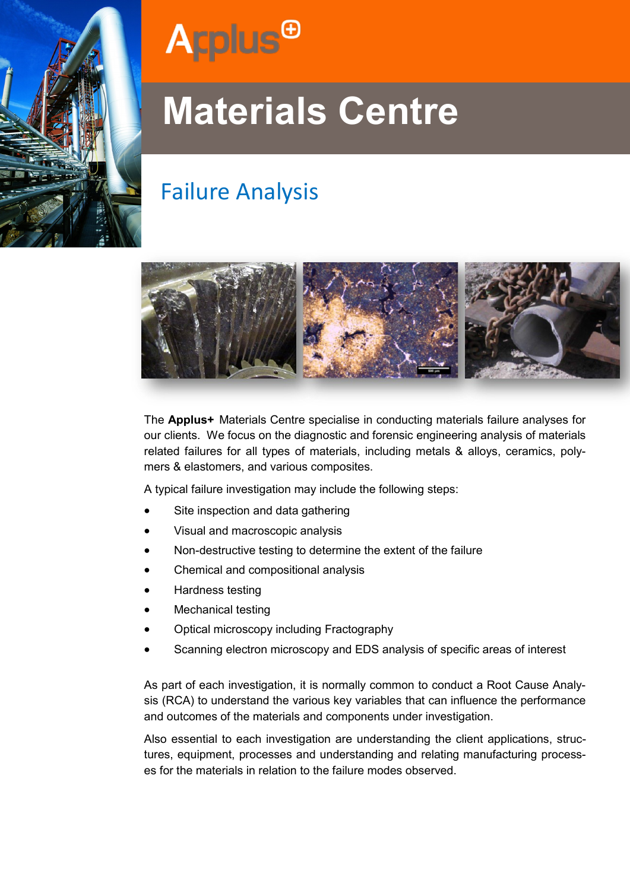



# **Materials Centre**

### Failure Analysis



The **Applus+** Materials Centre specialise in conducting materials failure analyses for our clients. We focus on the diagnostic and forensic engineering analysis of materials related failures for all types of materials, including metals & alloys, ceramics, polymers & elastomers, and various composites.

A typical failure investigation may include the following steps:

- Site inspection and data gathering
- Visual and macroscopic analysis
- Non-destructive testing to determine the extent of the failure
- Chemical and compositional analysis
- Hardness testing
- Mechanical testing
- Optical microscopy including Fractography
- Scanning electron microscopy and EDS analysis of specific areas of interest

As part of each investigation, it is normally common to conduct a Root Cause Analysis (RCA) to understand the various key variables that can influence the performance and outcomes of the materials and components under investigation.

Also essential to each investigation are understanding the client applications, structures, equipment, processes and understanding and relating manufacturing processes for the materials in relation to the failure modes observed.